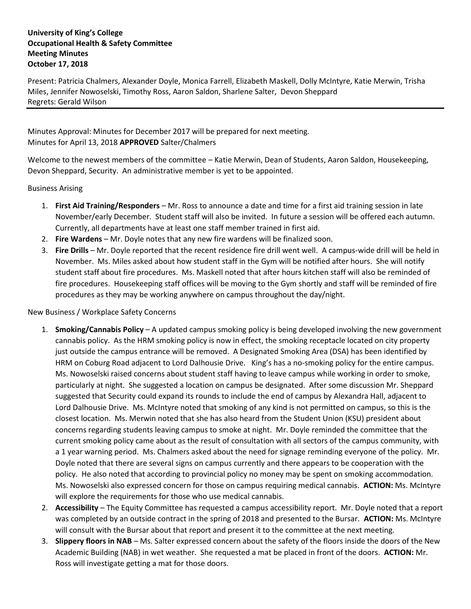## **University of King's College Occupational Health & Safety Committee Meeting Minutes October 17, 2018**

Present: Patricia Chalmers, Alexander Doyle, Monica Farrell, Elizabeth Maskell, Dolly McIntyre, Katie Merwin, Trisha Miles, Jennifer Nowoselski, Timothy Ross, Aaron Saldon, Sharlene Salter, Devon Sheppard Regrets: Gerald Wilson

Minutes Approval: Minutes for December 2017 will be prepared for next meeting. Minutes for April 13, 2018 **APPROVED** Salter/Chalmers

Welcome to the newest members of the committee – Katie Merwin, Dean of Students, Aaron Saldon, Housekeeping, Devon Sheppard, Security. An administrative member is yet to be appointed.

Business Arising

- 1. **First Aid Training/Responders** Mr. Ross to announce a date and time for a first aid training session in late November/early December. Student staff will also be invited. In future a session will be offered each autumn. Currently, all departments have at least one staff member trained in first aid.
- 2. **Fire Wardens**  Mr. Doyle notes that any new fire wardens will be finalized soon.
- 3. **Fire Drills** Mr. Doyle reported that the recent residence fire drill went well. A campus-wide drill will be held in November. Ms. Miles asked about how student staff in the Gym will be notified after hours. She will notify student staff about fire procedures. Ms. Maskell noted that after hours kitchen staff will also be reminded of fire procedures. Housekeeping staff offices will be moving to the Gym shortly and staff will be reminded of fire procedures as they may be working anywhere on campus throughout the day/night.

## New Business / Workplace Safety Concerns

- 1. **Smoking/Cannabis Policy** A updated campus smoking policy is being developed involving the new government cannabis policy. As the HRM smoking policy is now in effect, the smoking receptacle located on city property just outside the campus entrance will be removed. A Designated Smoking Area (DSA) has been identified by HRM on Coburg Road adjacent to Lord Dalhousie Drive. King's has a no-smoking policy for the entire campus. Ms. Nowoselski raised concerns about student staff having to leave campus while working in order to smoke, particularly at night. She suggested a location on campus be designated. After some discussion Mr. Sheppard suggested that Security could expand its rounds to include the end of campus by Alexandra Hall, adjacent to Lord Dalhousie Drive. Ms. McIntyre noted that smoking of any kind is not permitted on campus, so this is the closest location. Ms. Merwin noted that she has also heard from the Student Union (KSU) president about concerns regarding students leaving campus to smoke at night. Mr. Doyle reminded the committee that the current smoking policy came about as the result of consultation with all sectors of the campus community, with a 1 year warning period. Ms. Chalmers asked about the need for signage reminding everyone of the policy. Mr. Doyle noted that there are several signs on campus currently and there appears to be cooperation with the policy. He also noted that according to provincial policy no money may be spent on smoking accommodation. Ms. Nowoselski also expressed concern for those on campus requiring medical cannabis. **ACTION:** Ms. McIntyre will explore the requirements for those who use medical cannabis.
- 2. **Accessibility**  The Equity Committee has requested a campus accessibility report. Mr. Doyle noted that a report was completed by an outside contract in the spring of 2018 and presented to the Bursar. **ACTION:** Ms. McIntyre will consult with the Bursar about that report and present it to the committee at the next meeting.
- 3. **Slippery floors in NAB**  Ms. Salter expressed concern about the safety of the floors inside the doors of the New Academic Building (NAB) in wet weather. She requested a mat be placed in front of the doors. **ACTION:** Mr. Ross will investigate getting a mat for those doors.